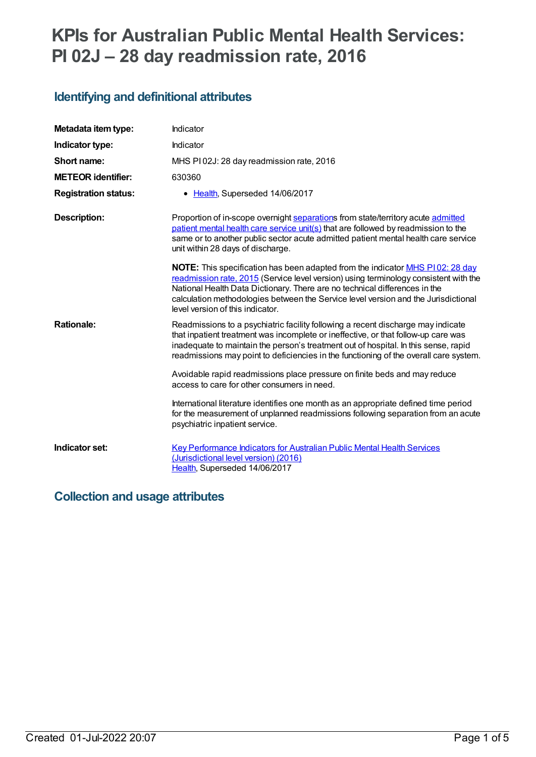# **KPIs for Australian Public Mental Health Services: PI 02J – 28 day readmission rate, 2016**

# **Identifying and definitional attributes**

| Metadata item type:         | Indicator                                                                                                                                                                                                                                                                                                                                                                                   |
|-----------------------------|---------------------------------------------------------------------------------------------------------------------------------------------------------------------------------------------------------------------------------------------------------------------------------------------------------------------------------------------------------------------------------------------|
| Indicator type:             | Indicator                                                                                                                                                                                                                                                                                                                                                                                   |
| Short name:                 | MHS PI02J: 28 day readmission rate, 2016                                                                                                                                                                                                                                                                                                                                                    |
| <b>METEOR identifier:</b>   | 630360                                                                                                                                                                                                                                                                                                                                                                                      |
| <b>Registration status:</b> | • Health, Superseded 14/06/2017                                                                                                                                                                                                                                                                                                                                                             |
| <b>Description:</b>         | Proportion of in-scope overnight separations from state/territory acute admitted<br>patient mental health care service unit(s) that are followed by readmission to the<br>same or to another public sector acute admitted patient mental health care service<br>unit within 28 days of discharge.                                                                                           |
|                             | <b>NOTE:</b> This specification has been adapted from the indicator <b>MHS P102: 28 day</b><br>readmission rate, 2015 (Service level version) using terminology consistent with the<br>National Health Data Dictionary. There are no technical differences in the<br>calculation methodologies between the Service level version and the Jurisdictional<br>level version of this indicator. |
| <b>Rationale:</b>           | Readmissions to a psychiatric facility following a recent discharge may indicate<br>that inpatient treatment was incomplete or ineffective, or that follow-up care was<br>inadequate to maintain the person's treatment out of hospital. In this sense, rapid<br>readmissions may point to deficiencies in the functioning of the overall care system.                                      |
|                             | Avoidable rapid readmissions place pressure on finite beds and may reduce<br>access to care for other consumers in need.                                                                                                                                                                                                                                                                    |
|                             | International literature identifies one month as an appropriate defined time period<br>for the measurement of unplanned readmissions following separation from an acute<br>psychiatric inpatient service.                                                                                                                                                                                   |
| Indicator set:              | <b>Key Performance Indicators for Australian Public Mental Health Services</b><br>(Jurisdictional level version) (2016)<br>Health, Superseded 14/06/2017                                                                                                                                                                                                                                    |

## **Collection and usage attributes**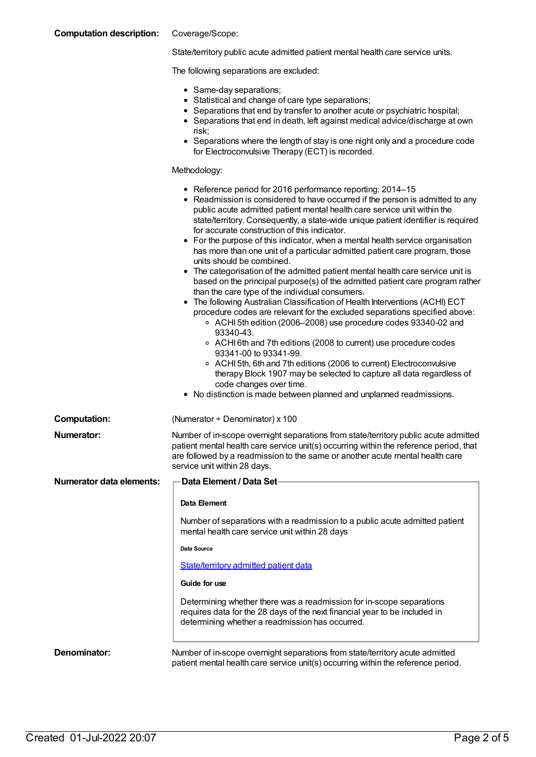| <b>Computation description:</b> | Coverage/Scope:                                                                                                                                                                                                                                                                                                                                                                                                                                                                                                                                                                                                                                                                                                                                                                                                                                                                                                                                                                                                                                                                                                                                                                                                                                                                                                                                                                |
|---------------------------------|--------------------------------------------------------------------------------------------------------------------------------------------------------------------------------------------------------------------------------------------------------------------------------------------------------------------------------------------------------------------------------------------------------------------------------------------------------------------------------------------------------------------------------------------------------------------------------------------------------------------------------------------------------------------------------------------------------------------------------------------------------------------------------------------------------------------------------------------------------------------------------------------------------------------------------------------------------------------------------------------------------------------------------------------------------------------------------------------------------------------------------------------------------------------------------------------------------------------------------------------------------------------------------------------------------------------------------------------------------------------------------|
|                                 | State/territory public acute admitted patient mental health care service units.                                                                                                                                                                                                                                                                                                                                                                                                                                                                                                                                                                                                                                                                                                                                                                                                                                                                                                                                                                                                                                                                                                                                                                                                                                                                                                |
|                                 | The following separations are excluded:                                                                                                                                                                                                                                                                                                                                                                                                                                                                                                                                                                                                                                                                                                                                                                                                                                                                                                                                                                                                                                                                                                                                                                                                                                                                                                                                        |
|                                 | • Same-day separations;<br>• Statistical and change of care type separations;<br>• Separations that end by transfer to another acute or psychiatric hospital;<br>• Separations that end in death, left against medical advice/discharge at own<br>risk;<br>• Separations where the length of stay is one night only and a procedure code<br>for Electroconvulsive Therapy (ECT) is recorded.                                                                                                                                                                                                                                                                                                                                                                                                                                                                                                                                                                                                                                                                                                                                                                                                                                                                                                                                                                                   |
|                                 | Methodology:                                                                                                                                                                                                                                                                                                                                                                                                                                                                                                                                                                                                                                                                                                                                                                                                                                                                                                                                                                                                                                                                                                                                                                                                                                                                                                                                                                   |
|                                 | • Reference period for 2016 performance reporting: 2014-15<br>• Readmission is considered to have occurred if the person is admitted to any<br>public acute admitted patient mental health care service unit within the<br>state/territory. Consequently, a state-wide unique patient identifier is required<br>for accurate construction of this indicator.<br>• For the purpose of this indicator, when a mental health service organisation<br>has more than one unit of a particular admitted patient care program, those<br>units should be combined.<br>• The categorisation of the admitted patient mental health care service unit is<br>based on the principal purpose(s) of the admitted patient care program rather<br>than the care type of the individual consumers.<br>The following Australian Classification of Health Interventions (ACHI) ECT<br>procedure codes are relevant for the excluded separations specified above:<br>○ ACHI 5th edition (2006–2008) use procedure codes 93340-02 and<br>93340-43.<br>○ ACHI 6th and 7th editions (2008 to current) use procedure codes<br>93341-00 to 93341-99.<br>○ ACHI 5th, 6th and 7th editions (2006 to current) Electroconvulsive<br>therapy Block 1907 may be selected to capture all data regardless of<br>code changes over time.<br>• No distinction is made between planned and unplanned readmissions. |
| <b>Computation:</b>             | (Numerator + Denominator) x 100                                                                                                                                                                                                                                                                                                                                                                                                                                                                                                                                                                                                                                                                                                                                                                                                                                                                                                                                                                                                                                                                                                                                                                                                                                                                                                                                                |
| <b>Numerator:</b>               | Number of in-scope overnight separations from state/territory public acute admitted<br>patient mental health care service unit(s) occurring within the reference period, that<br>are followed by a readmission to the same or another acute mental health care<br>service unit within 28 days.                                                                                                                                                                                                                                                                                                                                                                                                                                                                                                                                                                                                                                                                                                                                                                                                                                                                                                                                                                                                                                                                                 |
| <b>Numerator data elements:</b> | <b>Data Element / Data Set-</b>                                                                                                                                                                                                                                                                                                                                                                                                                                                                                                                                                                                                                                                                                                                                                                                                                                                                                                                                                                                                                                                                                                                                                                                                                                                                                                                                                |
|                                 | Data Element                                                                                                                                                                                                                                                                                                                                                                                                                                                                                                                                                                                                                                                                                                                                                                                                                                                                                                                                                                                                                                                                                                                                                                                                                                                                                                                                                                   |
|                                 | Number of separations with a readmission to a public acute admitted patient<br>mental health care service unit within 28 days                                                                                                                                                                                                                                                                                                                                                                                                                                                                                                                                                                                                                                                                                                                                                                                                                                                                                                                                                                                                                                                                                                                                                                                                                                                  |
|                                 | Data Source                                                                                                                                                                                                                                                                                                                                                                                                                                                                                                                                                                                                                                                                                                                                                                                                                                                                                                                                                                                                                                                                                                                                                                                                                                                                                                                                                                    |
|                                 | State/territory admitted patient data                                                                                                                                                                                                                                                                                                                                                                                                                                                                                                                                                                                                                                                                                                                                                                                                                                                                                                                                                                                                                                                                                                                                                                                                                                                                                                                                          |
|                                 | Guide for use                                                                                                                                                                                                                                                                                                                                                                                                                                                                                                                                                                                                                                                                                                                                                                                                                                                                                                                                                                                                                                                                                                                                                                                                                                                                                                                                                                  |
|                                 | Determining whether there was a readmission for in-scope separations<br>requires data for the 28 days of the next financial year to be included in<br>determining whether a readmission has occurred.                                                                                                                                                                                                                                                                                                                                                                                                                                                                                                                                                                                                                                                                                                                                                                                                                                                                                                                                                                                                                                                                                                                                                                          |
| Denominator:                    | Number of in-scope overnight separations from state/territory acute admitted<br>patient mental health care service unit(s) occurring within the reference period.                                                                                                                                                                                                                                                                                                                                                                                                                                                                                                                                                                                                                                                                                                                                                                                                                                                                                                                                                                                                                                                                                                                                                                                                              |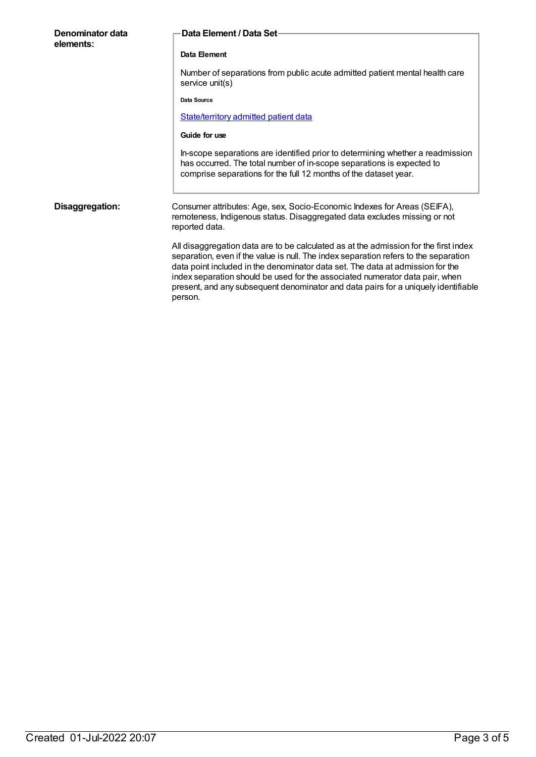| Denominator data<br>elements: | Data Element / Data Set-                                                                                                                                                                                                                                                                                                                                                                                                                        |
|-------------------------------|-------------------------------------------------------------------------------------------------------------------------------------------------------------------------------------------------------------------------------------------------------------------------------------------------------------------------------------------------------------------------------------------------------------------------------------------------|
|                               | Data Element                                                                                                                                                                                                                                                                                                                                                                                                                                    |
|                               | Number of separations from public acute admitted patient mental health care<br>service unit(s)                                                                                                                                                                                                                                                                                                                                                  |
|                               | Data Source                                                                                                                                                                                                                                                                                                                                                                                                                                     |
|                               | State/territory admitted patient data                                                                                                                                                                                                                                                                                                                                                                                                           |
|                               | Guide for use                                                                                                                                                                                                                                                                                                                                                                                                                                   |
|                               | In-scope separations are identified prior to determining whether a readmission<br>has occurred. The total number of in-scope separations is expected to<br>comprise separations for the full 12 months of the dataset year.                                                                                                                                                                                                                     |
| Disaggregation:               | Consumer attributes: Age, sex, Socio-Economic Indexes for Areas (SEIFA),<br>remoteness, Indigenous status. Disaggregated data excludes missing or not<br>reported data.                                                                                                                                                                                                                                                                         |
|                               | All disaggregation data are to be calculated as at the admission for the first index<br>separation, even if the value is null. The index separation refers to the separation<br>data point included in the denominator data set. The data at admission for the<br>index separation should be used for the associated numerator data pair, when<br>present, and any subsequent denominator and data pairs for a uniquely identifiable<br>person. |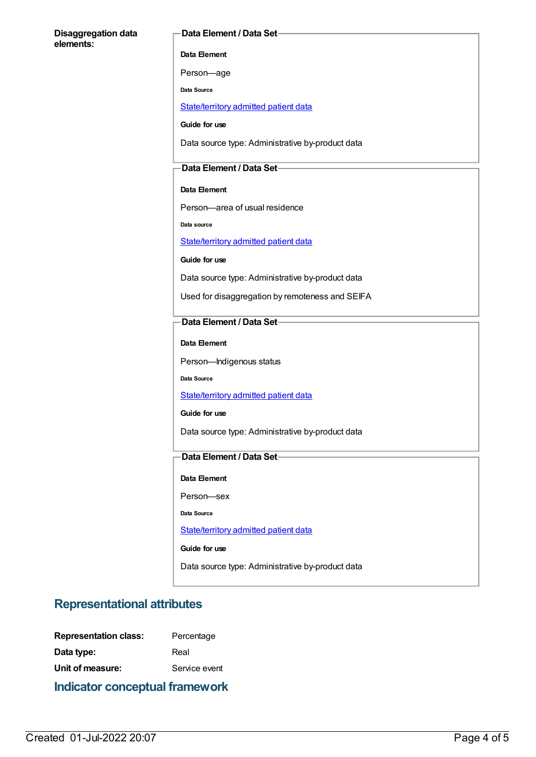#### **Disaggregation data elements:**

#### **Data Element / Data Set**

**Data Element**

Person—age

**Data Source**

[State/territory](file:///content/426458) admitted patient data

**Guide for use**

Data source type: Administrative by-product data

### **Data Element / Data Set**

#### **Data Element**

Person—area of usual residence

**Data source**

[State/territory](file:///content/426458) admitted patient data

**Guide for use**

Data source type: Administrative by-product data

Used for disaggregation by remoteness and SEIFA

### **Data Element / Data Set**

**Data Element**

Person—Indigenous status

**Data Source**

[State/territory](file:///content/426458) admitted patient data

**Guide for use**

Data source type: Administrative by-product data

### **Data Element / Data Set**

**Data Element**

Person—sex

**Data Source**

[State/territory](file:///content/426458) admitted patient data

**Guide for use**

Data source type: Administrative by-product data

### **Representational attributes**

| <b>Representation class:</b> | Percentage    |
|------------------------------|---------------|
| Data type:                   | Real          |
| Unit of measure:             | Service event |
|                              |               |

### **Indicator conceptual framework**